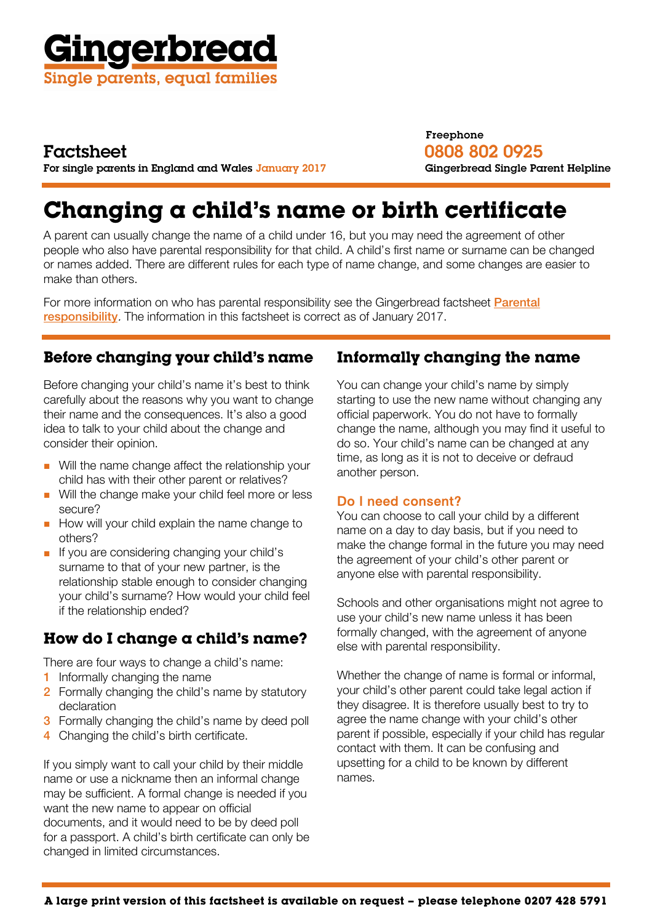

## Factsheet

For single parents in England and Wales January 2017

## Freephone 0808 802 0925 Gingerbread Single Parent Helpline

# **Changing a child's name or birth certificate**

A parent can usually change the name of a child under 16, but you may need the agreement of other people who also have parental responsibility for that child. A child's first name or surname can be changed or names added. There are different rules for each type of name change, and some changes are easier to make than others.

For more information on who has parental responsibility see the Gingerbread factsheet **Parental** [responsibility](https://gingerbread.org.uk/factsheet/19/Parental-responsibility-). The information in this factsheet is correct as of January 2017.

## **Before changing your child's name**

Before changing your child's name it's best to think carefully about the reasons why you want to change their name and the consequences. It's also a good idea to talk to your child about the change and consider their opinion.

- Will the name change affect the relationship your child has with their other parent or relatives?
- Will the change make your child feel more or less secure?
- How will your child explain the name change to others?
- If you are considering changing your child's surname to that of your new partner, is the relationship stable enough to consider changing your child's surname? How would your child feel if the relationship ended?

## **How do I change a child's name?**

There are four ways to change a child's name:

- 1 Informally changing the name
- 2 Formally changing the child's name by statutory declaration
- **3** Formally changing the child's name by deed poll
- 4 Changing the child's birth certificate.

If you simply want to call your child by their middle name or use a nickname then an informal change may be sufficient. A formal change is needed if you want the new name to appear on official documents, and it would need to be by deed poll for a passport. A child's birth certificate can only be changed in limited circumstances.

## **Informally changing the name**

You can change your child's name by simply starting to use the new name without changing any official paperwork. You do not have to formally change the name, although you may find it useful to do so. Your child's name can be changed at any time, as long as it is not to deceive or defraud another person.

## Do I need consent?

You can choose to call your child by a different name on a day to day basis, but if you need to make the change formal in the future you may need the agreement of your child's other parent or anyone else with parental responsibility.

Schools and other organisations might not agree to use your child's new name unless it has been formally changed, with the agreement of anyone else with parental responsibility.

Whether the change of name is formal or informal, your child's other parent could take legal action if they disagree. It is therefore usually best to try to agree the name change with your child's other parent if possible, especially if your child has regular contact with them. It can be confusing and upsetting for a child to be known by different names.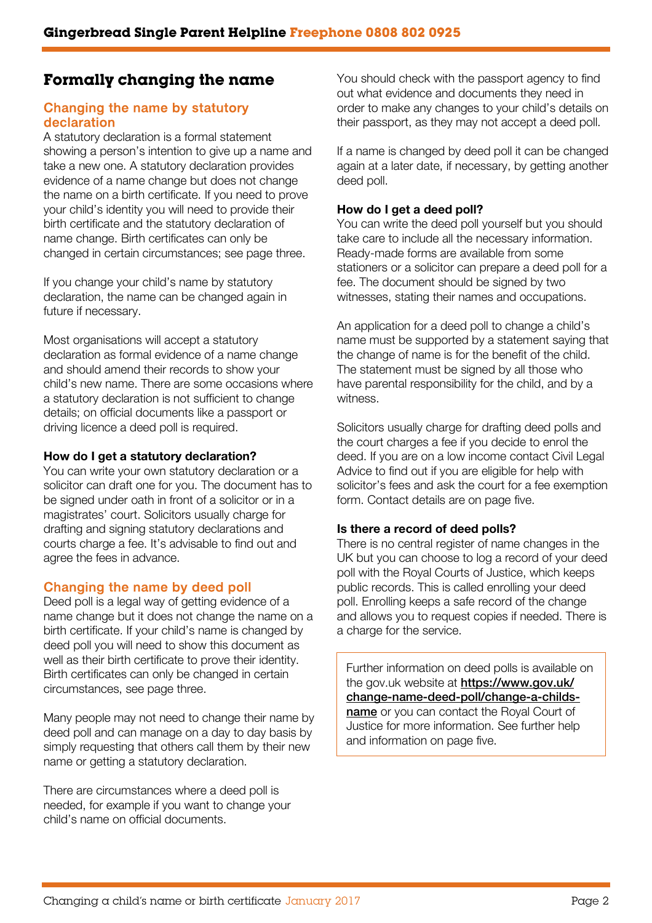## **Formally changing the name**

### Changing the name by statutory declaration

A statutory declaration is a formal statement showing a person's intention to give up a name and take a new one. A statutory declaration provides evidence of a name change but does not change the name on a birth certificate. If you need to prove your child's identity you will need to provide their birth certificate and the statutory declaration of name change. Birth certificates can only be changed in certain circumstances; see page three.

If you change your child's name by statutory declaration, the name can be changed again in future if necessary.

Most organisations will accept a statutory declaration as formal evidence of a name change and should amend their records to show your child's new name. There are some occasions where a statutory declaration is not sufficient to change details; on official documents like a passport or driving licence a deed poll is required.

### How do I get a statutory declaration?

You can write your own statutory declaration or a solicitor can draft one for you. The document has to be signed under oath in front of a solicitor or in a magistrates' court. Solicitors usually charge for drafting and signing statutory declarations and courts charge a fee. It's advisable to find out and agree the fees in advance.

## Changing the name by deed poll

Deed poll is a legal way of getting evidence of a name change but it does not change the name on a birth certificate. If your child's name is changed by deed poll you will need to show this document as well as their birth certificate to prove their identity. Birth certificates can only be changed in certain circumstances, see page three.

Many people may not need to change their name by deed poll and can manage on a day to day basis by simply requesting that others call them by their new name or getting a statutory declaration.

There are circumstances where a deed poll is needed, for example if you want to change your child's name on official documents.

You should check with the passport agency to find out what evidence and documents they need in order to make any changes to your child's details on their passport, as they may not accept a deed poll.

If a name is changed by deed poll it can be changed again at a later date, if necessary, by getting another deed poll.

### How do I get a deed poll?

You can write the deed poll yourself but you should take care to include all the necessary information. Ready-made forms are available from some stationers or a solicitor can prepare a deed poll for a fee. The document should be signed by two witnesses, stating their names and occupations.

An application for a deed poll to change a child's name must be supported by a statement saying that the change of name is for the benefit of the child. The statement must be signed by all those who have parental responsibility for the child, and by a witness.

Solicitors usually charge for drafting deed polls and the court charges a fee if you decide to enrol the deed. If you are on a low income contact Civil Legal Advice to find out if you are eligible for help with solicitor's fees and ask the court for a fee exemption form. Contact details are on page five.

### Is there a record of deed polls?

There is no central register of name changes in the UK but you can choose to log a record of your deed poll with the Royal Courts of Justice, which keeps public records. This is called enrolling your deed poll. Enrolling keeps a safe record of the change and allows you to request copies if needed. There is a charge for the service.

Further information on deed polls is available on the gov.uk website at **https://www.gov.uk/** [change-name-deed-poll/change-a-childs](https://www.gov.uk/change-name-deed-poll/change-a-childs-name)name or you can contact the Royal Court of Justice for more information. See further help and information on page five.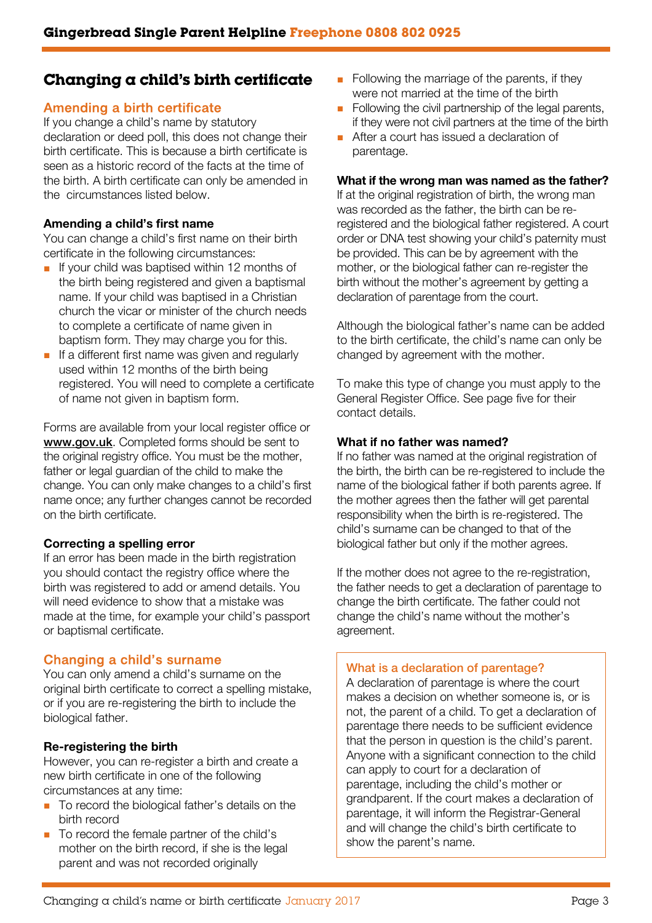## **Changing a child's birth certificate**

## Amending a birth certificate

If you change a child's name by statutory declaration or deed poll, this does not change their birth certificate. This is because a birth certificate is seen as a historic record of the facts at the time of the birth. A birth certificate can only be amended in the circumstances listed below.

### Amending a child's first name

You can change a child's first name on their birth certificate in the following circumstances:

- If your child was baptised within 12 months of the birth being registered and given a baptismal name. If your child was baptised in a Christian church the vicar or minister of the church needs to complete a certificate of name given in baptism form. They may charge you for this.
- If a different first name was given and regularly used within 12 months of the birth being registered. You will need to complete a certificate of name not given in baptism form.

Forms are available from your local register office or [www.gov.uk](www.gov.uk.). Completed forms should be sent to the original registry office. You must be the mother, father or legal guardian of the child to make the change. You can only make changes to a child's first name once; any further changes cannot be recorded on the birth certificate.

### Correcting a spelling error

If an error has been made in the birth registration you should contact the registry office where the birth was registered to add or amend details. You will need evidence to show that a mistake was made at the time, for example your child's passport or baptismal certificate.

## Changing a child's surname

You can only amend a child's surname on the original birth certificate to correct a spelling mistake, or if you are re-registering the birth to include the biological father.

## Re-registering the birth

However, you can re-register a birth and create a new birth certificate in one of the following circumstances at any time:

- To record the biological father's details on the birth record
- To record the female partner of the child's mother on the birth record, if she is the legal parent and was not recorded originally
- Following the marriage of the parents, if they were not married at the time of the birth
- Following the civil partnership of the legal parents, if they were not civil partners at the time of the birth
- After a court has issued a declaration of parentage.

#### What if the wrong man was named as the father?

If at the original registration of birth, the wrong man was recorded as the father, the birth can be reregistered and the biological father registered. A court order or DNA test showing your child's paternity must be provided. This can be by agreement with the mother, or the biological father can re-register the birth without the mother's agreement by getting a declaration of parentage from the court.

Although the biological father's name can be added to the birth certificate, the child's name can only be changed by agreement with the mother.

To make this type of change you must apply to the General Register Office. See page five for their contact details.

### What if no father was named?

If no father was named at the original registration of the birth, the birth can be re-registered to include the name of the biological father if both parents agree. If the mother agrees then the father will get parental responsibility when the birth is re-registered. The child's surname can be changed to that of the biological father but only if the mother agrees.

If the mother does not agree to the re-registration, the father needs to get a declaration of parentage to change the birth certificate. The father could not change the child's name without the mother's agreement.

### What is a declaration of parentage?

A declaration of parentage is where the court makes a decision on whether someone is, or is not, the parent of a child. To get a declaration of parentage there needs to be sufficient evidence that the person in question is the child's parent. Anyone with a significant connection to the child can apply to court for a declaration of parentage, including the child's mother or grandparent. If the court makes a declaration of parentage, it will inform the Registrar-General and will change the child's birth certificate to show the parent's name.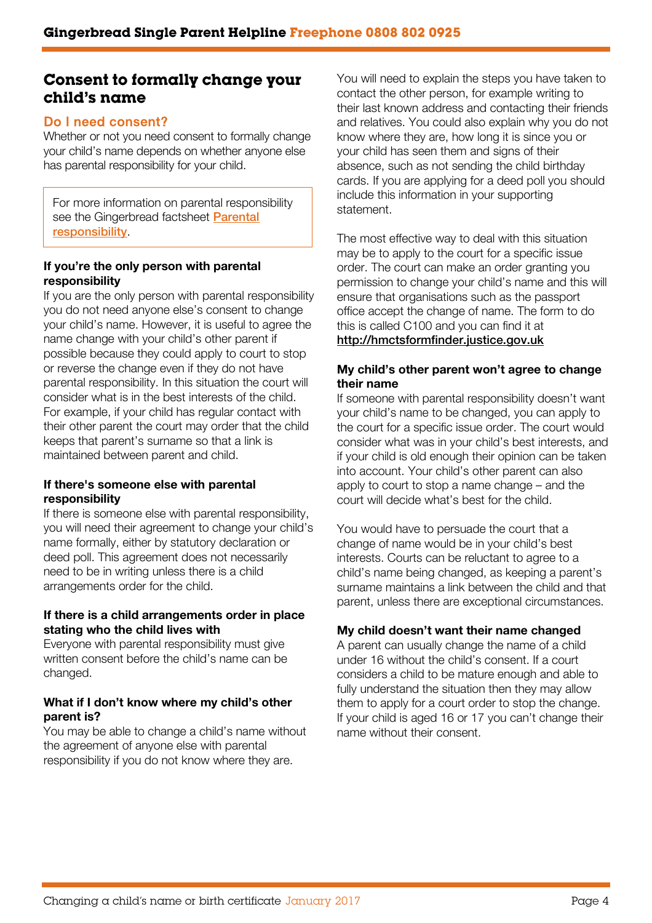## **Consent to formally change your child's name**

## Do I need consent?

Whether or not you need consent to formally change your child's name depends on whether anyone else has parental responsibility for your child.

For more information on parental responsibility see the Gingerbread factsheet **Parental** [responsibility](https://gingerbread.org.uk/factsheet/19/Parental-responsibility-).

### If you're the only person with parental responsibility

If you are the only person with parental responsibility you do not need anyone else's consent to change your child's name. However, it is useful to agree the name change with your child's other parent if possible because they could apply to court to stop or reverse the change even if they do not have parental responsibility. In this situation the court will consider what is in the best interests of the child. For example, if your child has regular contact with their other parent the court may order that the child keeps that parent's surname so that a link is maintained between parent and child.

### If there's someone else with parental responsibility

If there is someone else with parental responsibility, you will need their agreement to change your child's name formally, either by statutory declaration or deed poll. This agreement does not necessarily need to be in writing unless there is a child arrangements order for the child.

### If there is a child arrangements order in place stating who the child lives with

Everyone with parental responsibility must give written consent before the child's name can be changed.

### What if I don't know where my child's other parent is?

You may be able to change a child's name without the agreement of anyone else with parental responsibility if you do not know where they are.

You will need to explain the steps you have taken to contact the other person, for example writing to their last known address and contacting their friends and relatives. You could also explain why you do not know where they are, how long it is since you or your child has seen them and signs of their absence, such as not sending the child birthday cards. If you are applying for a deed poll you should include this information in your supporting statement.

The most effective way to deal with this situation may be to apply to the court for a specific issue order. The court can make an order granting you permission to change your child's name and this will ensure that organisations such as the passport office accept the change of name. The form to do this is called C100 and you can find it at

## <http://hmctsformfinder.justice.gov.uk>

### My child's other parent won't agree to change their name

If someone with parental responsibility doesn't want your child's name to be changed, you can apply to the court for a specific issue order. The court would consider what was in your child's best interests, and if your child is old enough their opinion can be taken into account. Your child's other parent can also apply to court to stop a name change – and the court will decide what's best for the child.

You would have to persuade the court that a change of name would be in your child's best interests. Courts can be reluctant to agree to a child's name being changed, as keeping a parent's surname maintains a link between the child and that parent, unless there are exceptional circumstances.

### My child doesn't want their name changed

A parent can usually change the name of a child under 16 without the child's consent. If a court considers a child to be mature enough and able to fully understand the situation then they may allow them to apply for a court order to stop the change. If your child is aged 16 or 17 you can't change their name without their consent.